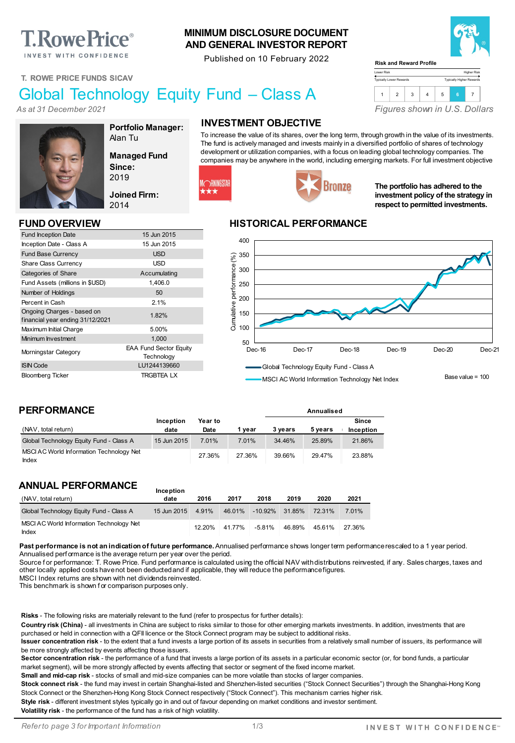# **T. Rowe Price**®

INVEST WITH CONFIDENCE

## **T. ROWE PRICE FUNDS SICAV**

## Global Technology Equity Fund – Class A

*As at 31 December 2021*



**Portfolio Manager:** Alan Tu

**Managed Fund Since:** 2019

**Joined Firm:** 2014

Fund Inception Date 15 Jun 2015 Inception Date - Class A 15 Jun 2015 Fund Base Currency **Example 20 SO EXAMPLE 2018** Share Class Currency **USD** Categories of Share Accumulating Fund Assets (millions in \$USD) 1,406.0 Number of Holdings 50 Percent in Cash 2.1%

In understanding Unarges - based on<br>
financial year ending 31/12/2021 Maximum Initial Charge 5.00% Minimum Investment 1,000 Morningstar Category EAA Fund Sector Equity

ISIN Code LU1244139660 Bloomberg Ticker TRGBTEA LX

## **INVESTMENT OBJECTIVE**

**MINIMUM DISCLOSURE DOCUMENT AND GENERAL INVESTOR REPORT** Published on 10 February 2022

> To increase the value of its shares, over the long term, through growth in the value of its investments. The fund is actively managed and invests mainly in a diversified portfolio of shares of technology development or utilization companies, with a focus on leading global technology companies. The companies may be anywhere in the world, including emerging markets. For full investment objective



# Bronze

**The portfolio has adhered to the investment policy of the strategy in respect to permitted investments.**

## **FUND OVERVIEW HISTORICAL PERFORMANCE**



MSCI AC World Information Technology Net Index

**Annualised**

Base value = 100

## **PERFORMANCE**

Ongoing Charges - based on

| (NAV, total return)                                      | Inception<br>date | Year to<br>Date | vear   | 3 vears | 5 vears | Since<br>Inception |
|----------------------------------------------------------|-------------------|-----------------|--------|---------|---------|--------------------|
| Global Technology Equity Fund - Class A                  | 15 Jun 2015       | 7.01%           | 7.01%  | 34.46%  | 25.89%  | 21.86%             |
| MSCI AC World Information Technology Net<br><b>Index</b> |                   | 27.36%          | 27.36% | 39.66%  | 29.47%  | 23.88%             |

## **ANNUAL PERFORMANCE**

| (NAV, total return)                               | date        | 2016   | 2017   | 2018              | 2019   | 2020   | 2021   |
|---------------------------------------------------|-------------|--------|--------|-------------------|--------|--------|--------|
| Global Technology Equity Fund - Class A           | 15 Jun 2015 | 4.91%  | 46.01% | $-10.92\%$ 31.85% |        | 72.31% | 7.01%  |
| MSCI AC World Information Technology Net<br>Index |             | 12.20% | 41.77% | $-5.81%$          | 46.89% | 45.61% | 27.36% |

**Inception** 

Past performance is not an indication of future performance. Annualised performance shows longer term performance rescaled to a 1 year period. Annualised perf ormance is the average return per year over the period.

Source for performance: T. Rowe Price. Fund performance is calculated using the official NAV with distributions reinvested, if any. Sales charges, taxes and other locally applied costs have not been deducted and if applicable, they will reduce the performance figures.

MSCI Index returns are shown with net dividends reinvested.

This benchmark is shown f or comparison purposes only.

**Risks** - The following risks are materially relevant to the fund (refer to prospectus for further details):

**Technology** 

**Country risk (China)** - all investments in China are subject to risks similar to those for other emerging markets investments. In addition, investments that are purchased or held in connection with a QFII licence or the Stock Connect program may be subject to additional risks.

**Issuer concentration risk** - to the extent that a fund invests a large portion of its assets in securities from a relatively small number of issuers, its performance will be more strongly affected by events affecting those issuers.

Sector concentration risk - the performance of a fund that invests a large portion of its assets in a particular economic sector (or, for bond funds, a particular market segment), will be more strongly affected by events affecting that sector or segment of the fixed income market.

**Small and mid-cap risk** - stocks of small and mid-size companies can be more volatile than stocks of larger companies.

Stock connect risk - the fund may invest in certain Shanghai-listed and Shenzhen-listed securities ("Stock Connect Securities") through the Shanghai-Hong Kong Stock Connect or the Shenzhen-Hong Kong Stock Connect respectively ("Stock Connect"). This mechanism carries higher risk.

**Style risk** - different investment styles typically go in and out of favour depending on market conditions and investor sentiment.

**Volatility risk** - the performance of the fund has a risk of high volatility.



#### Lower Risk **Risk and Reward Profile**

| 3<br>6 |
|--------|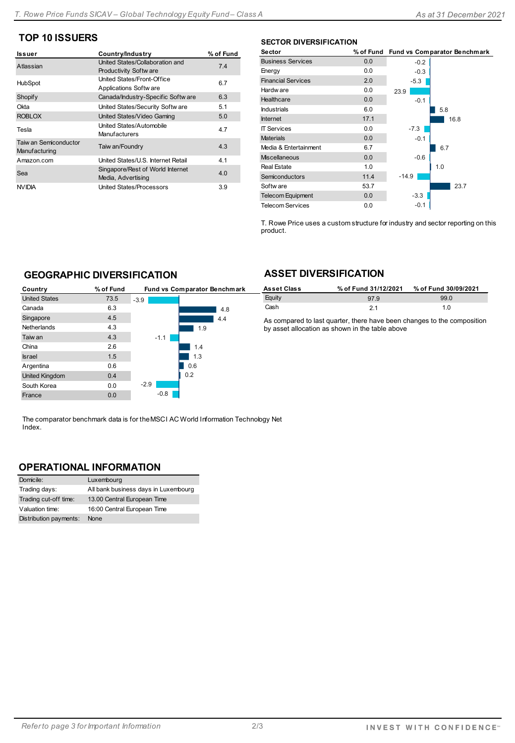## **TOP 10 ISSUERS**

| Issuer                                 | Country/Industry                                                | % of Fund |
|----------------------------------------|-----------------------------------------------------------------|-----------|
| Atlassian                              | United States/Collaboration and<br><b>Productivity Software</b> | 74        |
| HubSpot                                | United States/Front-Office<br>Applications Softw are            | 6.7       |
| Shopify                                | Canada/Industry-Specific Softw are                              | 6.3       |
| Okta                                   | United States/Security Softw are                                | 5.1       |
| <b>ROBLOX</b>                          | United States/Video Gaming                                      | 5.0       |
| Tesla                                  | United States/Automobile<br>Manufacturers                       | 4.7       |
| Taiw an Semiconductor<br>Manufacturing | Taiw an/Foundry                                                 | 4.3       |
| Amazon.com                             | United States/U.S. Internet Retail                              | 4.1       |
| Sea                                    | Singapore/Rest of World Internet<br>Media, Advertising          | 4.0       |
| <b>NVIDIA</b>                          | <b>United States/Processors</b>                                 | 3.9       |

### **SECTOR DIVERSIFICATION**

| Sector                    | % of Fund |         | Fund vs Comparator Benchmark |
|---------------------------|-----------|---------|------------------------------|
| <b>Business Services</b>  | 0.0       | $-0.2$  |                              |
| Energy                    | 0.0       | $-0.3$  |                              |
| <b>Financial Services</b> | 2.0       | $-5.3$  |                              |
| Hardw are                 | 0.0       | $-23.9$ |                              |
| Healthcare                | 0.0       | $-0.1$  |                              |
| <b>Industrials</b>        | 6.0       |         | 5.8                          |
| <b>Internet</b>           | 17.1      |         | 16.8                         |
| <b>IT Services</b>        | 0.0       | $-7.3$  |                              |
| <b>Materials</b>          | 0.0       | $-0.1$  |                              |
| Media & Entertainment     | 6.7       |         | 6.7                          |
| <b>Miscellaneous</b>      | 0.0       | $-0.6$  |                              |
| <b>Real Estate</b>        | 1.0       |         | 1.0                          |
| Semiconductors            | 11.4      | $-14.9$ |                              |
| Softw are                 | 53.7      |         | 23.7                         |
| <b>Telecom Equipment</b>  | 0.0       | $-3.3$  |                              |
| <b>Telecom Services</b>   | 0.0       | $-0.1$  |                              |

T. Rowe Price uses a custom structure for industry and sector reporting on this product.

## **GEOGRAPHIC DIVERSIFICATION**

| Country               | % of Fund |        | <b>Fund vs Comparator Benchmark</b> |
|-----------------------|-----------|--------|-------------------------------------|
| <b>United States</b>  | 73.5      | $-3.9$ |                                     |
| Canada                | 6.3       |        | 4.8                                 |
| Singapore             | 4.5       |        | 4.4                                 |
| <b>Netherlands</b>    | 4.3       |        | 1.9                                 |
| Taiw an               | 4.3       | $-1.1$ |                                     |
| China                 | 2.6       |        | 1.4                                 |
| <b>Israel</b>         | 1.5       |        | 1.3                                 |
| Argentina             | 0.6       |        | 0.6                                 |
| <b>United Kingdom</b> | 0.4       |        | 0.2                                 |
| South Korea           | 0.0       | $-2.9$ |                                     |
| France                | 0.0       | $-0.8$ |                                     |

## **ASSET DIVERSIFICATION**

| <b>Asset Class</b> | % of Fund 31/12/2021 | % of Fund 30/09/2021 |
|--------------------|----------------------|----------------------|
| Equity             | 97 Q                 | 99.0                 |
| Cash               | 21                   | 1 N                  |

As compared to last quarter, there have been changes to the composition by asset allocation as shown in the table above

The comparator benchmark data is for the MSCI AC World Information Technology Net Index.

## **OPERATIONAL INFORMATION**

| Domicile:              | Luxembourg                           |
|------------------------|--------------------------------------|
| Trading days:          | All bank business days in Luxembourg |
| Trading cut-off time:  | 13.00 Central European Time          |
| Valuation time:        | 16:00 Central European Time          |
| Distribution payments: | None                                 |